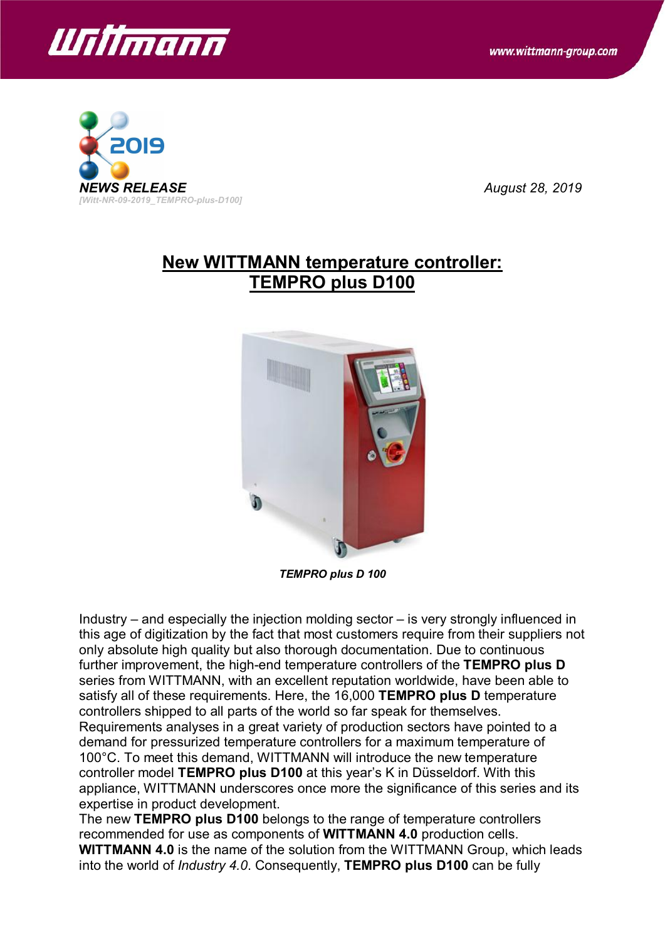



## **New WITTMANN temperature controller: TEMPRO plus D100**



*TEMPRO plus D 100*

Industry – and especially the injection molding sector – is very strongly influenced in this age of digitization by the fact that most customers require from their suppliers not only absolute high quality but also thorough documentation. Due to continuous further improvement, the high-end temperature controllers of the **TEMPRO plus D** series from WITTMANN, with an excellent reputation worldwide, have been able to satisfy all of these requirements. Here, the 16,000 **TEMPRO plus D** temperature controllers shipped to all parts of the world so far speak for themselves. Requirements analyses in a great variety of production sectors have pointed to a demand for pressurized temperature controllers for a maximum temperature of 100°C. To meet this demand, WITTMANN will introduce the new temperature controller model **TEMPRO plus D100** at this year's K in Düsseldorf. With this appliance, WITTMANN underscores once more the significance of this series and its expertise in product development.

The new **TEMPRO plus D100** belongs to the range of temperature controllers recommended for use as components of **WITTMANN 4.0** production cells. **WITTMANN 4.0** is the name of the solution from the WITTMANN Group, which leads into the world of *Industry 4.0*. Consequently, **TEMPRO plus D100** can be fully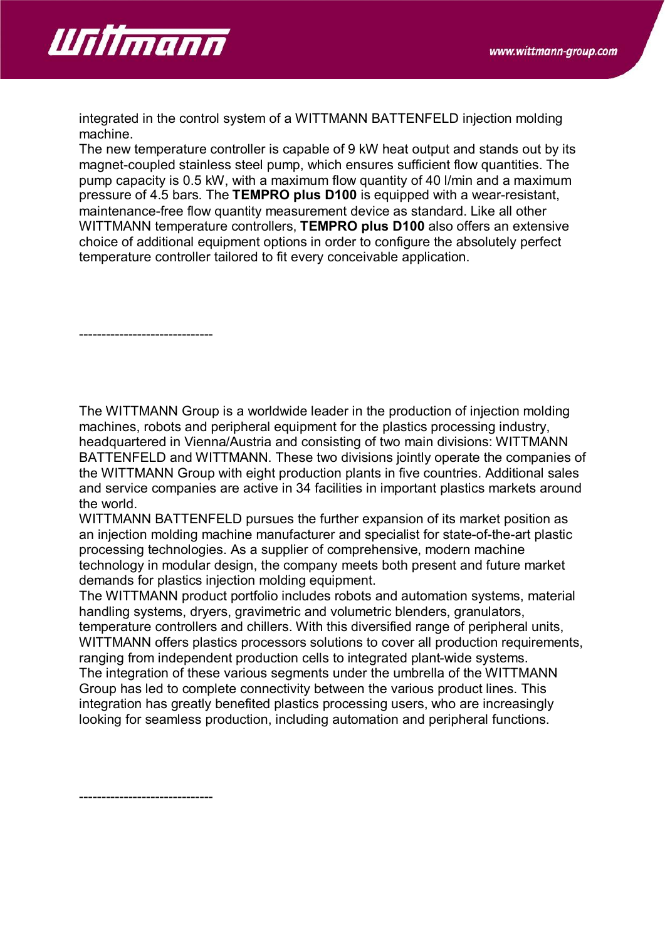

integrated in the control system of a WITTMANN BATTENFELD injection molding machine.

The new temperature controller is capable of 9 kW heat output and stands out by its magnet-coupled stainless steel pump, which ensures sufficient flow quantities. The pump capacity is 0.5 kW, with a maximum flow quantity of 40 l/min and a maximum pressure of 4.5 bars. The **TEMPRO plus D100** is equipped with a wear-resistant, maintenance-free flow quantity measurement device as standard. Like all other WITTMANN temperature controllers, **TEMPRO plus D100** also offers an extensive choice of additional equipment options in order to configure the absolutely perfect temperature controller tailored to fit every conceivable application.

------------------------------

The WITTMANN Group is a worldwide leader in the production of injection molding machines, robots and peripheral equipment for the plastics processing industry, headquartered in Vienna/Austria and consisting of two main divisions: WITTMANN BATTENFELD and WITTMANN. These two divisions jointly operate the companies of the WITTMANN Group with eight production plants in five countries. Additional sales and service companies are active in 34 facilities in important plastics markets around the world.

WITTMANN BATTENFELD pursues the further expansion of its market position as an injection molding machine manufacturer and specialist for state-of-the-art plastic processing technologies. As a supplier of comprehensive, modern machine technology in modular design, the company meets both present and future market demands for plastics injection molding equipment.

The WITTMANN product portfolio includes robots and automation systems, material handling systems, dryers, gravimetric and volumetric blenders, granulators, temperature controllers and chillers. With this diversified range of peripheral units, WITTMANN offers plastics processors solutions to cover all production requirements, ranging from independent production cells to integrated plant-wide systems. The integration of these various segments under the umbrella of the WITTMANN Group has led to complete connectivity between the various product lines. This integration has greatly benefited plastics processing users, who are increasingly looking for seamless production, including automation and peripheral functions.

------------------------------